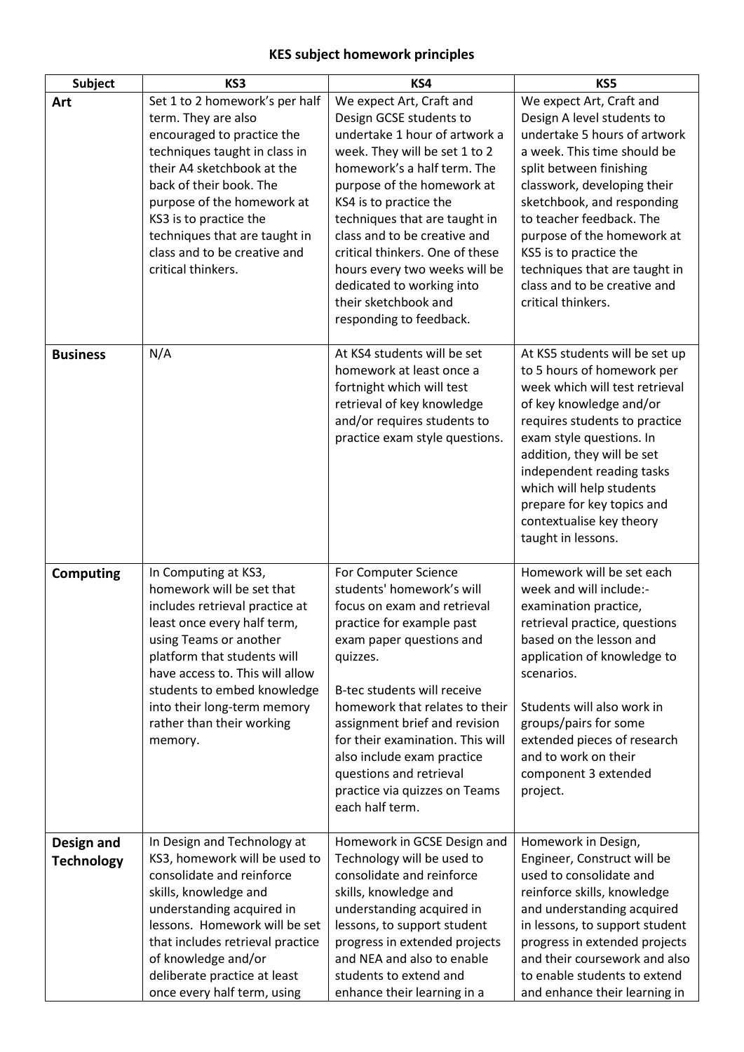## **KES subject homework principles**

| <b>Subject</b>                  | KS3                                                                                                                                                                                                                                                                                                                          | KS4                                                                                                                                                                                                                                                                                                                                                                                                                               | KS5                                                                                                                                                                                                                                                                                                                                                                                      |
|---------------------------------|------------------------------------------------------------------------------------------------------------------------------------------------------------------------------------------------------------------------------------------------------------------------------------------------------------------------------|-----------------------------------------------------------------------------------------------------------------------------------------------------------------------------------------------------------------------------------------------------------------------------------------------------------------------------------------------------------------------------------------------------------------------------------|------------------------------------------------------------------------------------------------------------------------------------------------------------------------------------------------------------------------------------------------------------------------------------------------------------------------------------------------------------------------------------------|
| Art                             | Set 1 to 2 homework's per half<br>term. They are also<br>encouraged to practice the<br>techniques taught in class in<br>their A4 sketchbook at the<br>back of their book. The<br>purpose of the homework at<br>KS3 is to practice the<br>techniques that are taught in<br>class and to be creative and<br>critical thinkers. | We expect Art, Craft and<br>Design GCSE students to<br>undertake 1 hour of artwork a<br>week. They will be set 1 to 2<br>homework's a half term. The<br>purpose of the homework at<br>KS4 is to practice the<br>techniques that are taught in<br>class and to be creative and<br>critical thinkers. One of these<br>hours every two weeks will be<br>dedicated to working into<br>their sketchbook and<br>responding to feedback. | We expect Art, Craft and<br>Design A level students to<br>undertake 5 hours of artwork<br>a week. This time should be<br>split between finishing<br>classwork, developing their<br>sketchbook, and responding<br>to teacher feedback. The<br>purpose of the homework at<br>KS5 is to practice the<br>techniques that are taught in<br>class and to be creative and<br>critical thinkers. |
| <b>Business</b>                 | N/A                                                                                                                                                                                                                                                                                                                          | At KS4 students will be set<br>homework at least once a<br>fortnight which will test<br>retrieval of key knowledge<br>and/or requires students to<br>practice exam style questions.                                                                                                                                                                                                                                               | At KS5 students will be set up<br>to 5 hours of homework per<br>week which will test retrieval<br>of key knowledge and/or<br>requires students to practice<br>exam style questions. In<br>addition, they will be set<br>independent reading tasks<br>which will help students<br>prepare for key topics and<br>contextualise key theory<br>taught in lessons.                            |
| <b>Computing</b>                | In Computing at KS3,<br>homework will be set that<br>includes retrieval practice at<br>least once every half term,<br>using Teams or another<br>platform that students will<br>have access to. This will allow<br>students to embed knowledge<br>into their long-term memory<br>rather than their working<br>memory.         | For Computer Science<br>students' homework's will<br>focus on exam and retrieval<br>practice for example past<br>exam paper questions and<br>quizzes.<br>B-tec students will receive<br>homework that relates to their<br>assignment brief and revision<br>for their examination. This will<br>also include exam practice<br>questions and retrieval<br>practice via quizzes on Teams<br>each half term.                          | Homework will be set each<br>week and will include:-<br>examination practice,<br>retrieval practice, questions<br>based on the lesson and<br>application of knowledge to<br>scenarios.<br>Students will also work in<br>groups/pairs for some<br>extended pieces of research<br>and to work on their<br>component 3 extended<br>project.                                                 |
| Design and<br><b>Technology</b> | In Design and Technology at<br>KS3, homework will be used to<br>consolidate and reinforce<br>skills, knowledge and<br>understanding acquired in<br>lessons. Homework will be set<br>that includes retrieval practice<br>of knowledge and/or<br>deliberate practice at least<br>once every half term, using                   | Homework in GCSE Design and<br>Technology will be used to<br>consolidate and reinforce<br>skills, knowledge and<br>understanding acquired in<br>lessons, to support student<br>progress in extended projects<br>and NEA and also to enable<br>students to extend and<br>enhance their learning in a                                                                                                                               | Homework in Design,<br>Engineer, Construct will be<br>used to consolidate and<br>reinforce skills, knowledge<br>and understanding acquired<br>in lessons, to support student<br>progress in extended projects<br>and their coursework and also<br>to enable students to extend<br>and enhance their learning in                                                                          |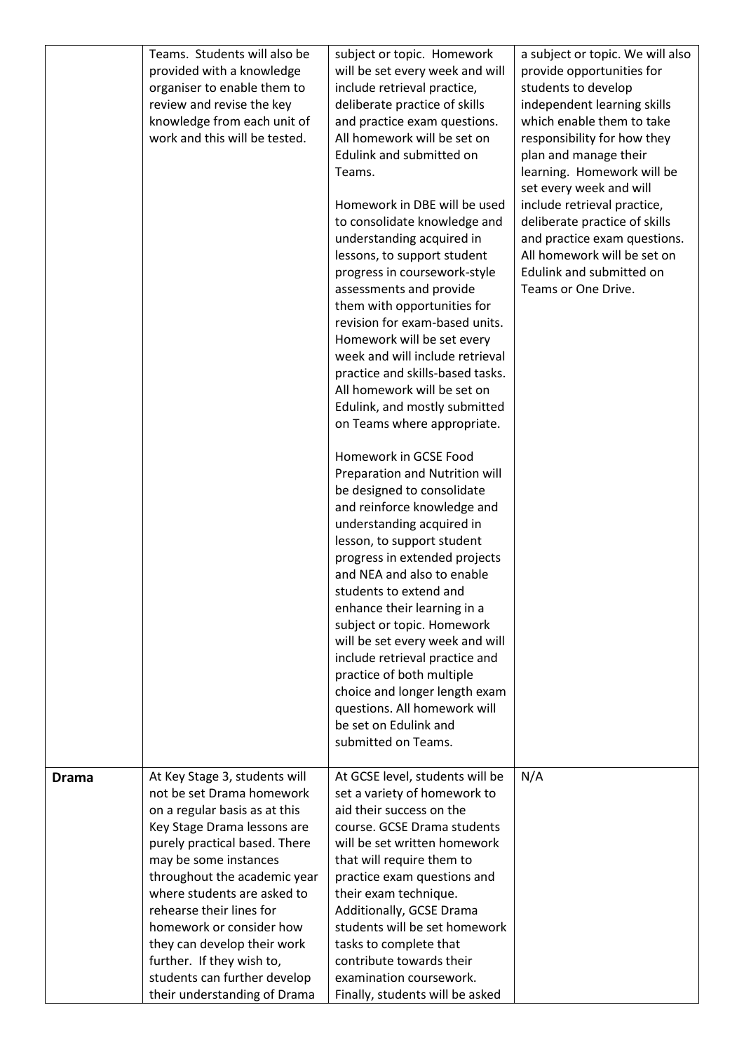|              | Teams. Students will also be  | subject or topic. Homework                                  | a subject or topic. We will also |
|--------------|-------------------------------|-------------------------------------------------------------|----------------------------------|
|              | provided with a knowledge     | will be set every week and will                             | provide opportunities for        |
|              | organiser to enable them to   | include retrieval practice,                                 | students to develop              |
|              | review and revise the key     | deliberate practice of skills                               | independent learning skills      |
|              | knowledge from each unit of   |                                                             | which enable them to take        |
|              | work and this will be tested. | and practice exam questions.<br>All homework will be set on |                                  |
|              |                               |                                                             | responsibility for how they      |
|              |                               | Edulink and submitted on                                    | plan and manage their            |
|              |                               | Teams.                                                      | learning. Homework will be       |
|              |                               |                                                             | set every week and will          |
|              |                               | Homework in DBE will be used                                | include retrieval practice,      |
|              |                               | to consolidate knowledge and                                | deliberate practice of skills    |
|              |                               | understanding acquired in                                   | and practice exam questions.     |
|              |                               | lessons, to support student                                 | All homework will be set on      |
|              |                               | progress in coursework-style                                | Edulink and submitted on         |
|              |                               | assessments and provide                                     | Teams or One Drive.              |
|              |                               | them with opportunities for                                 |                                  |
|              |                               | revision for exam-based units.                              |                                  |
|              |                               | Homework will be set every                                  |                                  |
|              |                               | week and will include retrieval                             |                                  |
|              |                               | practice and skills-based tasks.                            |                                  |
|              |                               | All homework will be set on                                 |                                  |
|              |                               | Edulink, and mostly submitted                               |                                  |
|              |                               | on Teams where appropriate.                                 |                                  |
|              |                               | Homework in GCSE Food                                       |                                  |
|              |                               | Preparation and Nutrition will                              |                                  |
|              |                               | be designed to consolidate                                  |                                  |
|              |                               | and reinforce knowledge and                                 |                                  |
|              |                               | understanding acquired in                                   |                                  |
|              |                               | lesson, to support student                                  |                                  |
|              |                               | progress in extended projects                               |                                  |
|              |                               | and NEA and also to enable                                  |                                  |
|              |                               | students to extend and                                      |                                  |
|              |                               | enhance their learning in a                                 |                                  |
|              |                               | subject or topic. Homework                                  |                                  |
|              |                               | will be set every week and will                             |                                  |
|              |                               | include retrieval practice and                              |                                  |
|              |                               | practice of both multiple                                   |                                  |
|              |                               | choice and longer length exam                               |                                  |
|              |                               | questions. All homework will                                |                                  |
|              |                               | be set on Edulink and                                       |                                  |
|              |                               | submitted on Teams.                                         |                                  |
|              | At Key Stage 3, students will | At GCSE level, students will be                             | N/A                              |
| <b>Drama</b> | not be set Drama homework     | set a variety of homework to                                |                                  |
|              | on a regular basis as at this | aid their success on the                                    |                                  |
|              | Key Stage Drama lessons are   | course. GCSE Drama students                                 |                                  |
|              | purely practical based. There | will be set written homework                                |                                  |
|              | may be some instances         | that will require them to                                   |                                  |
|              | throughout the academic year  | practice exam questions and                                 |                                  |
|              | where students are asked to   | their exam technique.                                       |                                  |
|              | rehearse their lines for      | Additionally, GCSE Drama                                    |                                  |
|              | homework or consider how      | students will be set homework                               |                                  |
|              | they can develop their work   | tasks to complete that                                      |                                  |
|              | further. If they wish to,     | contribute towards their                                    |                                  |
|              | students can further develop  | examination coursework.                                     |                                  |
|              | their understanding of Drama  | Finally, students will be asked                             |                                  |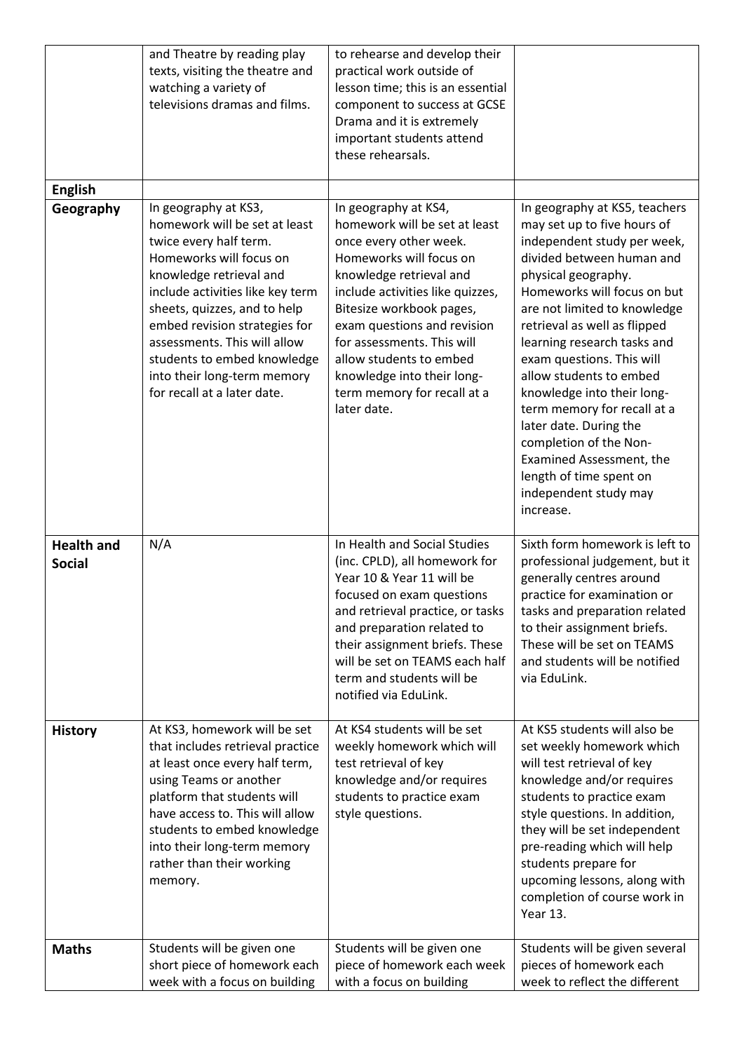|                                    | and Theatre by reading play<br>texts, visiting the theatre and<br>watching a variety of<br>televisions dramas and films.                                                                                                                                                                                                                                                | to rehearse and develop their<br>practical work outside of<br>lesson time; this is an essential<br>component to success at GCSE<br>Drama and it is extremely<br>important students attend<br>these rehearsals.                                                                                                                                                            |                                                                                                                                                                                                                                                                                                                                                                                                                                                                                                                                                     |
|------------------------------------|-------------------------------------------------------------------------------------------------------------------------------------------------------------------------------------------------------------------------------------------------------------------------------------------------------------------------------------------------------------------------|---------------------------------------------------------------------------------------------------------------------------------------------------------------------------------------------------------------------------------------------------------------------------------------------------------------------------------------------------------------------------|-----------------------------------------------------------------------------------------------------------------------------------------------------------------------------------------------------------------------------------------------------------------------------------------------------------------------------------------------------------------------------------------------------------------------------------------------------------------------------------------------------------------------------------------------------|
| <b>English</b><br>Geography        | In geography at KS3,<br>homework will be set at least<br>twice every half term.<br>Homeworks will focus on<br>knowledge retrieval and<br>include activities like key term<br>sheets, quizzes, and to help<br>embed revision strategies for<br>assessments. This will allow<br>students to embed knowledge<br>into their long-term memory<br>for recall at a later date. | In geography at KS4,<br>homework will be set at least<br>once every other week.<br>Homeworks will focus on<br>knowledge retrieval and<br>include activities like quizzes,<br>Bitesize workbook pages,<br>exam questions and revision<br>for assessments. This will<br>allow students to embed<br>knowledge into their long-<br>term memory for recall at a<br>later date. | In geography at KS5, teachers<br>may set up to five hours of<br>independent study per week,<br>divided between human and<br>physical geography.<br>Homeworks will focus on but<br>are not limited to knowledge<br>retrieval as well as flipped<br>learning research tasks and<br>exam questions. This will<br>allow students to embed<br>knowledge into their long-<br>term memory for recall at a<br>later date. During the<br>completion of the Non-<br>Examined Assessment, the<br>length of time spent on<br>independent study may<br>increase. |
| <b>Health and</b><br><b>Social</b> | N/A                                                                                                                                                                                                                                                                                                                                                                     | In Health and Social Studies<br>(inc. CPLD), all homework for<br>Year 10 & Year 11 will be<br>focused on exam questions<br>and retrieval practice, or tasks<br>and preparation related to<br>their assignment briefs. These<br>will be set on TEAMS each half<br>term and students will be<br>notified via EduLink.                                                       | Sixth form homework is left to<br>professional judgement, but it<br>generally centres around<br>practice for examination or<br>tasks and preparation related<br>to their assignment briefs.<br>These will be set on TEAMS<br>and students will be notified<br>via EduLink.                                                                                                                                                                                                                                                                          |
| <b>History</b>                     | At KS3, homework will be set<br>that includes retrieval practice<br>at least once every half term,<br>using Teams or another<br>platform that students will<br>have access to. This will allow<br>students to embed knowledge<br>into their long-term memory<br>rather than their working<br>memory.                                                                    | At KS4 students will be set<br>weekly homework which will<br>test retrieval of key<br>knowledge and/or requires<br>students to practice exam<br>style questions.                                                                                                                                                                                                          | At KS5 students will also be<br>set weekly homework which<br>will test retrieval of key<br>knowledge and/or requires<br>students to practice exam<br>style questions. In addition,<br>they will be set independent<br>pre-reading which will help<br>students prepare for<br>upcoming lessons, along with<br>completion of course work in<br>Year 13.                                                                                                                                                                                               |
| <b>Maths</b>                       | Students will be given one<br>short piece of homework each<br>week with a focus on building                                                                                                                                                                                                                                                                             | Students will be given one<br>piece of homework each week<br>with a focus on building                                                                                                                                                                                                                                                                                     | Students will be given several<br>pieces of homework each<br>week to reflect the different                                                                                                                                                                                                                                                                                                                                                                                                                                                          |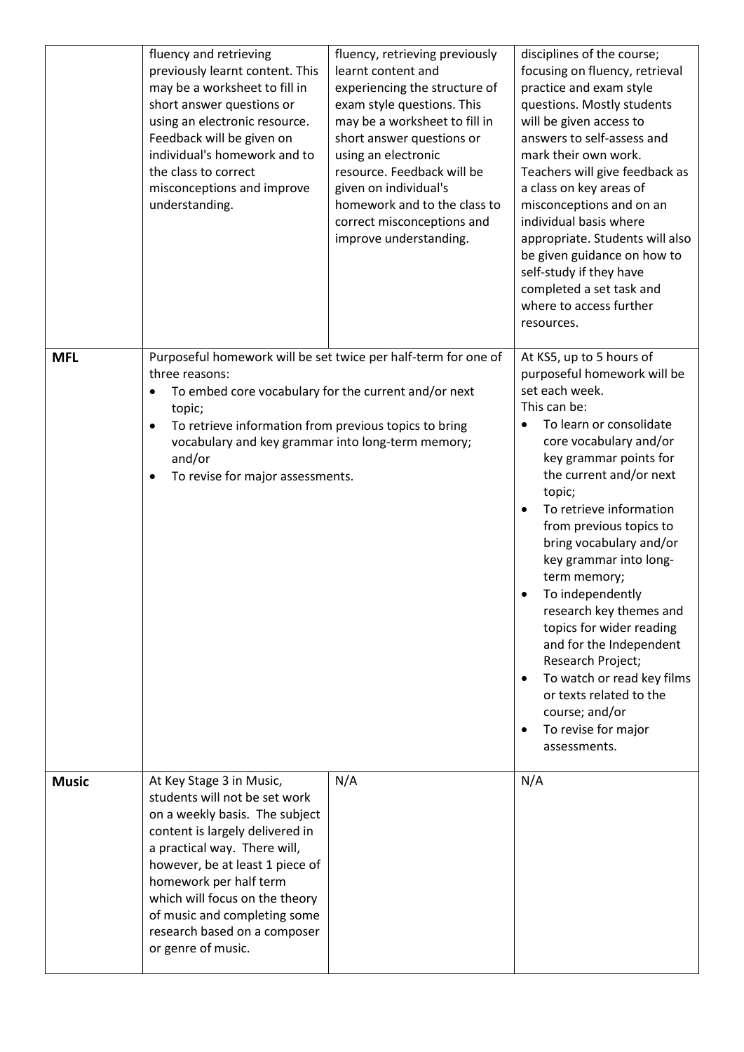|              | fluency and retrieving<br>previously learnt content. This<br>may be a worksheet to fill in<br>short answer questions or<br>using an electronic resource.<br>Feedback will be given on<br>individual's homework and to<br>the class to correct<br>misconceptions and improve<br>understanding.                                                       | fluency, retrieving previously<br>learnt content and<br>experiencing the structure of<br>exam style questions. This<br>may be a worksheet to fill in<br>short answer questions or<br>using an electronic<br>resource. Feedback will be<br>given on individual's<br>homework and to the class to<br>correct misconceptions and<br>improve understanding. | disciplines of the course;<br>focusing on fluency, retrieval<br>practice and exam style<br>questions. Mostly students<br>will be given access to<br>answers to self-assess and<br>mark their own work.<br>Teachers will give feedback as<br>a class on key areas of<br>misconceptions and on an<br>individual basis where<br>appropriate. Students will also<br>be given guidance on how to<br>self-study if they have<br>completed a set task and<br>where to access further<br>resources.                                                                                                        |
|--------------|-----------------------------------------------------------------------------------------------------------------------------------------------------------------------------------------------------------------------------------------------------------------------------------------------------------------------------------------------------|---------------------------------------------------------------------------------------------------------------------------------------------------------------------------------------------------------------------------------------------------------------------------------------------------------------------------------------------------------|----------------------------------------------------------------------------------------------------------------------------------------------------------------------------------------------------------------------------------------------------------------------------------------------------------------------------------------------------------------------------------------------------------------------------------------------------------------------------------------------------------------------------------------------------------------------------------------------------|
| <b>MFL</b>   | Purposeful homework will be set twice per half-term for one of<br>three reasons:<br>To embed core vocabulary for the current and/or next<br>topic;<br>To retrieve information from previous topics to bring<br>$\bullet$<br>vocabulary and key grammar into long-term memory;<br>and/or<br>To revise for major assessments.<br>٠                    |                                                                                                                                                                                                                                                                                                                                                         | At KS5, up to 5 hours of<br>purposeful homework will be<br>set each week.<br>This can be:<br>To learn or consolidate<br>core vocabulary and/or<br>key grammar points for<br>the current and/or next<br>topic;<br>To retrieve information<br>from previous topics to<br>bring vocabulary and/or<br>key grammar into long-<br>term memory;<br>To independently<br>research key themes and<br>topics for wider reading<br>and for the Independent<br>Research Project;<br>To watch or read key films<br>or texts related to the<br>course; and/or<br>To revise for major<br>$\bullet$<br>assessments. |
| <b>Music</b> | At Key Stage 3 in Music,<br>students will not be set work<br>on a weekly basis. The subject<br>content is largely delivered in<br>a practical way. There will,<br>however, be at least 1 piece of<br>homework per half term<br>which will focus on the theory<br>of music and completing some<br>research based on a composer<br>or genre of music. | N/A                                                                                                                                                                                                                                                                                                                                                     | N/A                                                                                                                                                                                                                                                                                                                                                                                                                                                                                                                                                                                                |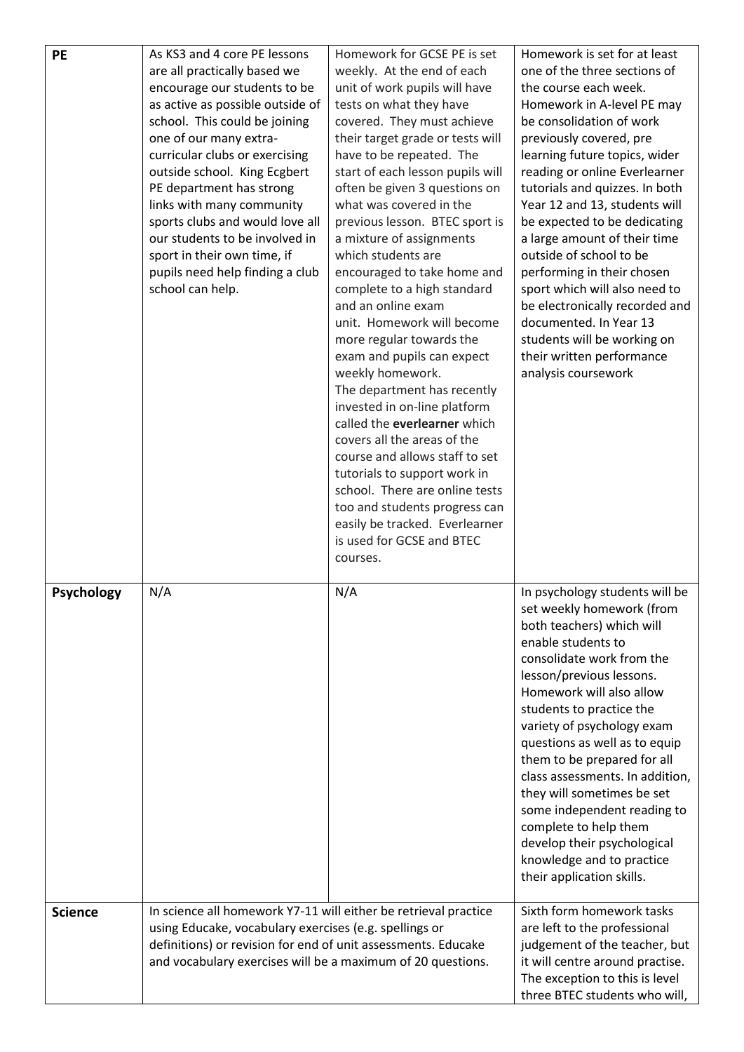| <b>PE</b>         | As KS3 and 4 core PE lessons<br>are all practically based we<br>encourage our students to be<br>as active as possible outside of<br>school. This could be joining<br>one of our many extra-<br>curricular clubs or exercising<br>outside school. King Ecgbert<br>PE department has strong<br>links with many community<br>sports clubs and would love all<br>our students to be involved in<br>sport in their own time, if<br>pupils need help finding a club<br>school can help. | Homework for GCSE PE is set<br>weekly. At the end of each<br>unit of work pupils will have<br>tests on what they have<br>covered. They must achieve<br>their target grade or tests will<br>have to be repeated. The<br>start of each lesson pupils will<br>often be given 3 questions on<br>what was covered in the<br>previous lesson. BTEC sport is<br>a mixture of assignments<br>which students are<br>encouraged to take home and<br>complete to a high standard<br>and an online exam<br>unit. Homework will become<br>more regular towards the<br>exam and pupils can expect<br>weekly homework.<br>The department has recently<br>invested in on-line platform<br>called the everlearner which<br>covers all the areas of the<br>course and allows staff to set<br>tutorials to support work in<br>school. There are online tests<br>too and students progress can<br>easily be tracked. Everlearner<br>is used for GCSE and BTEC<br>courses. | Homework is set for at least<br>one of the three sections of<br>the course each week.<br>Homework in A-level PE may<br>be consolidation of work<br>previously covered, pre<br>learning future topics, wider<br>reading or online Everlearner<br>tutorials and quizzes. In both<br>Year 12 and 13, students will<br>be expected to be dedicating<br>a large amount of their time<br>outside of school to be<br>performing in their chosen<br>sport which will also need to<br>be electronically recorded and<br>documented. In Year 13<br>students will be working on<br>their written performance<br>analysis coursework |
|-------------------|-----------------------------------------------------------------------------------------------------------------------------------------------------------------------------------------------------------------------------------------------------------------------------------------------------------------------------------------------------------------------------------------------------------------------------------------------------------------------------------|-------------------------------------------------------------------------------------------------------------------------------------------------------------------------------------------------------------------------------------------------------------------------------------------------------------------------------------------------------------------------------------------------------------------------------------------------------------------------------------------------------------------------------------------------------------------------------------------------------------------------------------------------------------------------------------------------------------------------------------------------------------------------------------------------------------------------------------------------------------------------------------------------------------------------------------------------------|--------------------------------------------------------------------------------------------------------------------------------------------------------------------------------------------------------------------------------------------------------------------------------------------------------------------------------------------------------------------------------------------------------------------------------------------------------------------------------------------------------------------------------------------------------------------------------------------------------------------------|
| <b>Psychology</b> | N/A                                                                                                                                                                                                                                                                                                                                                                                                                                                                               | N/A                                                                                                                                                                                                                                                                                                                                                                                                                                                                                                                                                                                                                                                                                                                                                                                                                                                                                                                                                   | In psychology students will be<br>set weekly homework (from<br>both teachers) which will<br>enable students to<br>consolidate work from the<br>lesson/previous lessons.<br>Homework will also allow<br>students to practice the<br>variety of psychology exam<br>questions as well as to equip<br>them to be prepared for all<br>class assessments. In addition,<br>they will sometimes be set<br>some independent reading to<br>complete to help them<br>develop their psychological<br>knowledge and to practice<br>their application skills.                                                                          |
| <b>Science</b>    | In science all homework Y7-11 will either be retrieval practice<br>using Educake, vocabulary exercises (e.g. spellings or<br>definitions) or revision for end of unit assessments. Educake<br>and vocabulary exercises will be a maximum of 20 questions.                                                                                                                                                                                                                         |                                                                                                                                                                                                                                                                                                                                                                                                                                                                                                                                                                                                                                                                                                                                                                                                                                                                                                                                                       | Sixth form homework tasks<br>are left to the professional<br>judgement of the teacher, but<br>it will centre around practise.<br>The exception to this is level<br>three BTEC students who will,                                                                                                                                                                                                                                                                                                                                                                                                                         |